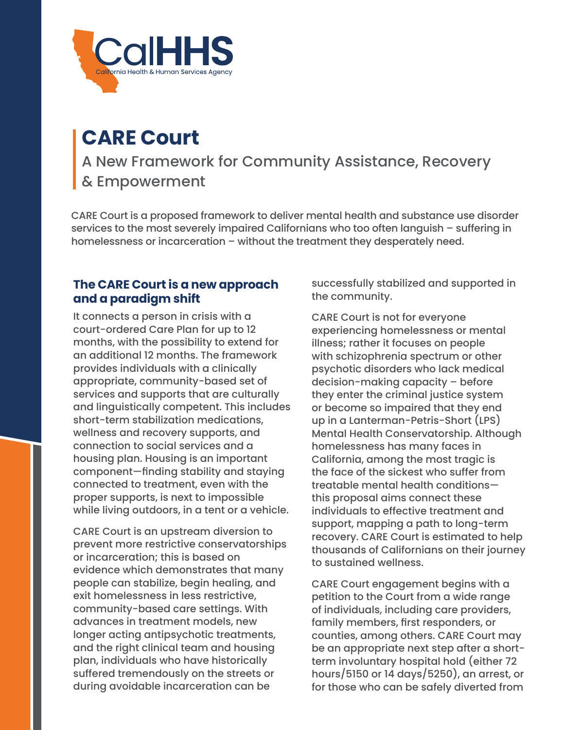

# **CARE Court**

A New Framework for Community Assistance, Recovery & Empowerment

CARE Court is a proposed framework to deliver mental health and substance use disorder services to the most severely impaired Californians who too often languish – suffering in homelessness or incarceration – without the treatment they desperately need.

### **The CARE Court is a new approach and a paradigm shift**

It connects a person in crisis with a court-ordered Care Plan for up to 12 months, with the possibility to extend for an additional 12 months. The framework provides individuals with a clinically appropriate, community-based set of services and supports that are culturally and linguistically competent. This includes short-term stabilization medications, wellness and recovery supports, and connection to social services and a housing plan. Housing is an important component—finding stability and staying connected to treatment, even with the proper supports, is next to impossible while living outdoors, in a tent or a vehicle.

CARE Court is an upstream diversion to prevent more restrictive conservatorships or incarceration; this is based on evidence which demonstrates that many people can stabilize, begin healing, and exit homelessness in less restrictive, community-based care settings. With advances in treatment models, new longer acting antipsychotic treatments, and the right clinical team and housing plan, individuals who have historically suffered tremendously on the streets or during avoidable incarceration can be

successfully stabilized and supported in the community.

CARE Court is not for everyone experiencing homelessness or mental illness; rather it focuses on people with schizophrenia spectrum or other psychotic disorders who lack medical decision-making capacity – before they enter the criminal justice system or become so impaired that they end up in a Lanterman-Petris-Short (LPS) Mental Health Conservatorship. Although homelessness has many faces in California, among the most tragic is the face of the sickest who suffer from treatable mental health conditions this proposal aims connect these individuals to effective treatment and support, mapping a path to long-term recovery. CARE Court is estimated to help thousands of Californians on their journey to sustained wellness.

CARE Court engagement begins with a petition to the Court from a wide range of individuals, including care providers, family members, first responders, or counties, among others. CARE Court may be an appropriate next step after a shortterm involuntary hospital hold (either 72 hours/5150 or 14 days/5250), an arrest, or for those who can be safely diverted from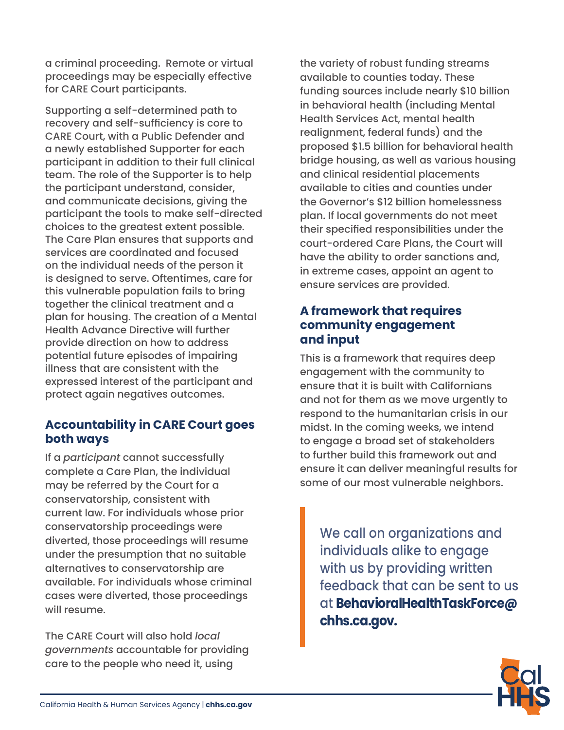a criminal proceeding. Remote or virtual proceedings may be especially effective for CARE Court participants.

Supporting a self-determined path to recovery and self-sufficiency is core to CARE Court, with a Public Defender and a newly established Supporter for each participant in addition to their full clinical team. The role of the Supporter is to help the participant understand, consider, and communicate decisions, giving the participant the tools to make self-directed choices to the greatest extent possible. The Care Plan ensures that supports and services are coordinated and focused on the individual needs of the person it is designed to serve. Oftentimes, care for this vulnerable population fails to bring together the clinical treatment and a plan for housing. The creation of a Mental Health Advance Directive will further provide direction on how to address potential future episodes of impairing illness that are consistent with the expressed interest of the participant and protect again negatives outcomes.

# **Accountability in CARE Court goes both ways**

If a *participant* cannot successfully complete a Care Plan, the individual may be referred by the Court for a conservatorship, consistent with current law. For individuals whose prior conservatorship proceedings were diverted, those proceedings will resume under the presumption that no suitable alternatives to conservatorship are available. For individuals whose criminal cases were diverted, those proceedings will resume.

The CARE Court will also hold *local governments* accountable for providing care to the people who need it, using

the variety of robust funding streams available to counties today. These funding sources include nearly \$10 billion in behavioral health (including Mental Health Services Act, mental health realignment, federal funds) and the proposed \$1.5 billion for behavioral health bridge housing, as well as various housing and clinical residential placements available to cities and counties under the Governor's \$12 billion homelessness plan. If local governments do not meet their specified responsibilities under the court-ordered Care Plans, the Court will have the ability to order sanctions and, in extreme cases, appoint an agent to ensure services are provided.

## **A framework that requires community engagement and input**

This is a framework that requires deep engagement with the community to ensure that it is built with Californians and not for them as we move urgently to respond to the humanitarian crisis in our midst. In the coming weeks, we intend to engage a broad set of stakeholders to further build this framework out and ensure it can deliver meaningful results for some of our most vulnerable neighbors.

We call on organizations and individuals alike to engage with us by providing written feedback that can be sent to us at **[BehavioralHealthTaskForce@](mailto:BehavioralHealthTaskForce%40chhs.ca.gov?subject=) [chhs.ca.gov](mailto:BehavioralHealthTaskForce%40chhs.ca.gov?subject=).**